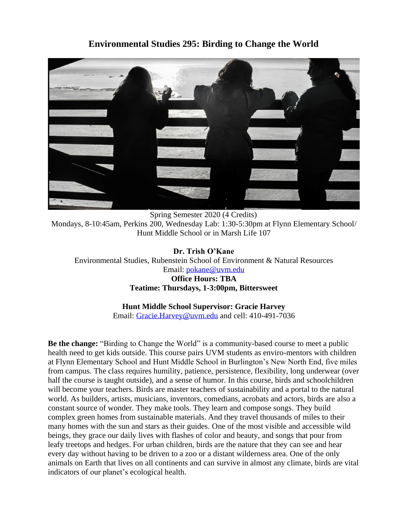## **Environmental Studies 295: Birding to Change the World**



 Spring Semester 2020 (4 Credits) Mondays, 8-10:45am, Perkins 200, Wednesday Lab: 1:30-5:30pm at Flynn Elementary School/ Hunt Middle School or in Marsh Life 107

**Dr. Trish O'Kane** Environmental Studies, Rubenstein School of Environment & Natural Resources Email: [pokane@uvm.edu](mailto:pokane@uvm.edu) **Office Hours: TBA Teatime: Thursdays, 1-3:00pm, Bittersweet**

**Hunt Middle School Supervisor: Gracie Harvey**

Email: [Gracie.Harvey@uvm.edu](mailto:Gracie.Harvey@uvm.edu) and cell: 410-491-7036

**Be the change:** "Birding to Change the World" is a community-based course to meet a public health need to get kids outside. This course pairs UVM students as enviro-mentors with children at Flynn Elementary School and Hunt Middle School in Burlington's New North End, five miles from campus. The class requires humility, patience, persistence, flexibility, long underwear (over half the course is taught outside), and a sense of humor. In this course, birds and schoolchildren will become your teachers. Birds are master teachers of sustainability and a portal to the natural world. As builders, artists, musicians, inventors, comedians, acrobats and actors, birds are also a constant source of wonder. They make tools. They learn and compose songs. They build complex green homes from sustainable materials. And they travel thousands of miles to their many homes with the sun and stars as their guides. One of the most visible and accessible wild beings, they grace our daily lives with flashes of color and beauty, and songs that pour from leafy treetops and hedges. For urban children, birds are the nature that they can see and hear every day without having to be driven to a zoo or a distant wilderness area. One of the only animals on Earth that lives on all continents and can survive in almost any climate, birds are vital indicators of our planet's ecological health.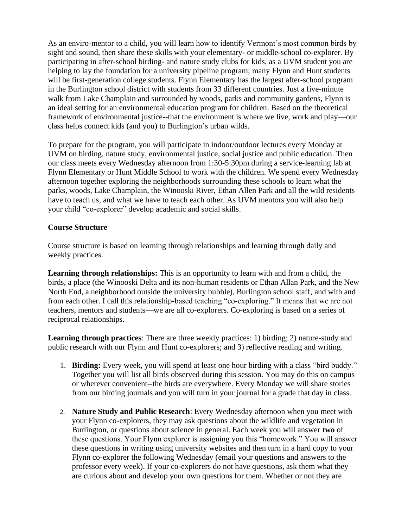As an enviro-mentor to a child, you will learn how to identify Vermont's most common birds by sight and sound, then share these skills with your elementary- or middle-school co-explorer. By participating in after-school birding- and nature study clubs for kids, as a UVM student you are helping to lay the foundation for a university pipeline program; many Flynn and Hunt students will be first-generation college students. Flynn Elementary has the largest after-school program in the Burlington school district with students from 33 different countries. Just a five-minute walk from Lake Champlain and surrounded by woods, parks and community gardens, Flynn is an ideal setting for an environmental education program for children. Based on the theoretical framework of environmental justice--that the environment is where we live, work and play—our class helps connect kids (and you) to Burlington's urban wilds.

To prepare for the program, you will participate in indoor/outdoor lectures every Monday at UVM on birding, nature study, environmental justice, social justice and public education. Then our class meets every Wednesday afternoon from 1:30-5:30pm during a service-learning lab at Flynn Elementary or Hunt Middle School to work with the children. We spend every Wednesday afternoon together exploring the neighborhoods surrounding these schools to learn what the parks, woods, Lake Champlain, the Winooski River, Ethan Allen Park and all the wild residents have to teach us, and what we have to teach each other. As UVM mentors you will also help your child "co-explorer" develop academic and social skills.

#### **Course Structure**

Course structure is based on learning through relationships and learning through daily and weekly practices.

**Learning through relationships:** This is an opportunity to learn with and from a child, the birds, a place (the Winooski Delta and its non-human residents or Ethan Allan Park, and the New North End, a neighborhood outside the university bubble), Burlington school staff, and with and from each other. I call this relationship-based teaching "co-exploring." It means that we are not teachers, mentors and students—we are all co-explorers. Co-exploring is based on a series of reciprocal relationships.

**Learning through practices**: There are three weekly practices: 1) birding; 2) nature-study and public research with our Flynn and Hunt co-explorers; and 3) reflective reading and writing.

- 1. **Birding:** Every week, you will spend at least one hour birding with a class "bird buddy." Together you will list all birds observed during this session. You may do this on campus or wherever convenient--the birds are everywhere. Every Monday we will share stories from our birding journals and you will turn in your journal for a grade that day in class.
- 2. **Nature Study and Public Research**: Every Wednesday afternoon when you meet with your Flynn co-explorers, they may ask questions about the wildlife and vegetation in Burlington, or questions about science in general. Each week you will answer **two** of these questions. Your Flynn explorer is assigning you this "homework." You will answer these questions in writing using university websites and then turn in a hard copy to your Flynn co-explorer the following Wednesday (email your questions and answers to the professor every week). If your co-explorers do not have questions, ask them what they are curious about and develop your own questions for them. Whether or not they are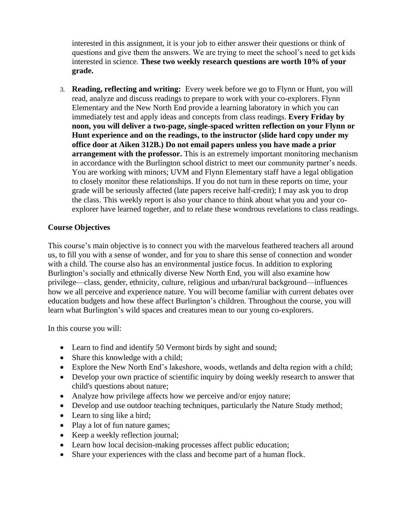interested in this assignment, it is your job to either answer their questions or think of questions and give them the answers. We are trying to meet the school's need to get kids interested in science. **These two weekly research questions are worth 10% of your grade.**

3. **Reading, reflecting and writing:** Every week before we go to Flynn or Hunt, you will read, analyze and discuss readings to prepare to work with your co-explorers. Flynn Elementary and the New North End provide a learning laboratory in which you can immediately test and apply ideas and concepts from class readings. **Every Friday by noon, you will deliver a two-page, single-spaced written reflection on your Flynn or Hunt experience and on the readings, to the instructor (slide hard copy under my office door at Aiken 312B.) Do not email papers unless you have made a prior arrangement with the professor.** This is an extremely important monitoring mechanism in accordance with the Burlington school district to meet our community partner's needs. You are working with minors; UVM and Flynn Elementary staff have a legal obligation to closely monitor these relationships. If you do not turn in these reports on time, your grade will be seriously affected (late papers receive half-credit); I may ask you to drop the class. This weekly report is also your chance to think about what you and your coexplorer have learned together, and to relate these wondrous revelations to class readings.

#### **Course Objectives**

This course's main objective is to connect you with the marvelous feathered teachers all around us, to fill you with a sense of wonder, and for you to share this sense of connection and wonder with a child. The course also has an environmental justice focus. In addition to exploring Burlington's socially and ethnically diverse New North End, you will also examine how privilege—class, gender, ethnicity, culture, religious and urban/rural background—influences how we all perceive and experience nature. You will become familiar with current debates over education budgets and how these affect Burlington's children. Throughout the course, you will learn what Burlington's wild spaces and creatures mean to our young co-explorers.

In this course you will:

- Learn to find and identify 50 Vermont birds by sight and sound;
- Share this knowledge with a child;
- Explore the New North End's lakeshore, woods, wetlands and delta region with a child;
- Develop your own practice of scientific inquiry by doing weekly research to answer that child's questions about nature;
- Analyze how privilege affects how we perceive and/or enjoy nature;
- Develop and use outdoor teaching techniques, particularly the Nature Study method;
- Learn to sing like a bird;
- Play a lot of fun nature games;
- Keep a weekly reflection journal;
- Learn how local decision-making processes affect public education;
- Share your experiences with the class and become part of a human flock.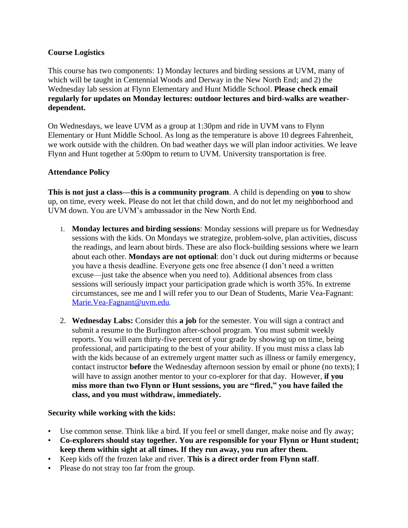#### **Course Logistics**

This course has two components: 1) Monday lectures and birding sessions at UVM, many of which will be taught in Centennial Woods and Derway in the New North End; and 2) the Wednesday lab session at Flynn Elementary and Hunt Middle School. **Please check email regularly for updates on Monday lectures: outdoor lectures and bird-walks are weatherdependent.**

On Wednesdays, we leave UVM as a group at 1:30pm and ride in UVM vans to Flynn Elementary or Hunt Middle School. As long as the temperature is above 10 degrees Fahrenheit, we work outside with the children. On bad weather days we will plan indoor activities. We leave Flynn and Hunt together at 5:00pm to return to UVM. University transportation is free.

#### **Attendance Policy**

**This is not just a class—this is a community program**. A child is depending on **you** to show up, on time, every week. Please do not let that child down, and do not let my neighborhood and UVM down. You are UVM's ambassador in the New North End.

- 1. **Monday lectures and birding sessions**: Monday sessions will prepare us for Wednesday sessions with the kids. On Mondays we strategize, problem-solve, plan activities, discuss the readings, and learn about birds. These are also flock-building sessions where we learn about each other. **Mondays are not optional**: don't duck out during midterms or because you have a thesis deadline. Everyone gets one free absence (I don't need a written excuse—just take the absence when you need to). Additional absences from class sessions will seriously impact your participation grade which is worth 35%. In extreme circumstances, see me and I will refer you to our Dean of Students, Marie Vea-Fagnant: [Marie.Vea-Fagnant@uvm.edu](mailto:Marie.Vea-Fagnant@uvm.edu).
- 2. **Wednesday Labs:** Consider this **a job** for the semester. You will sign a contract and submit a resume to the Burlington after-school program. You must submit weekly reports. You will earn thirty-five percent of your grade by showing up on time, being professional, and participating to the best of your ability. If you must miss a class lab with the kids because of an extremely urgent matter such as illness or family emergency, contact instructor **before** the Wednesday afternoon session by email or phone (no texts); I will have to assign another mentor to your co-explorer for that day. However, **if you miss more than two Flynn or Hunt sessions, you are "fired," you have failed the class, and you must withdraw, immediately.**

#### **Security while working with the kids:**

- Use common sense. Think like a bird. If you feel or smell danger, make noise and fly away;
- **Co-explorers should stay together. You are responsible for your Flynn or Hunt student; keep them within sight at all times. If they run away, you run after them.**
- Keep kids off the frozen lake and river. **This is a direct order from Flynn staff**.
- Please do not stray too far from the group.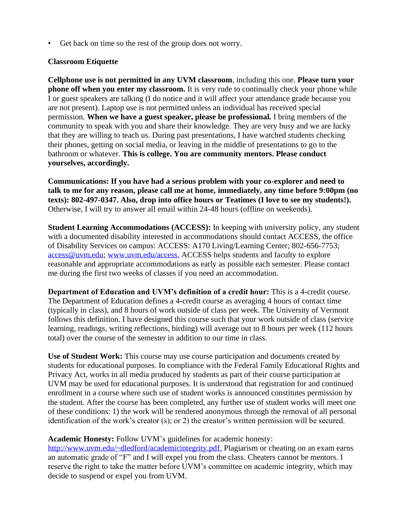• Get back on time so the rest of the group does not worry.

#### **Classroom Etiquette**

**Cellphone use is not permitted in any UVM classroom**, including this one. **Please turn your phone off when you enter my classroom.** It is very rude to continually check your phone while I or guest speakers are talking (I do notice and it will affect your attendance grade because you are not present). Laptop use is not permitted unless an individual has received special permission. **When we have a guest speaker, please be professional.** I bring members of the community to speak with you and share their knowledge. They are very busy and we are lucky that they are willing to teach us. During past presentations, I have watched students checking their phones, getting on social media, or leaving in the middle of presentations to go to the bathroom or whatever. **This is college. You are community mentors. Please conduct yourselves, accordingly.** 

**Communications: If you have had a serious problem with your co-explorer and need to talk to me for any reason, please call me at home, immediately, any time before 9:00pm (no texts): 802-497-0347. Also, drop into office hours or Teatimes (I love to see my students!).** Otherwise, I will try to answer all email within 24-48 hours (offline on weekends).

**Student Learning Accommodations (ACCESS):** In keeping with university policy, any student with a documented disability interested in accommodations should contact ACCESS, the office of Disability Services on campus: ACCESS: A170 Living/Learning Center; 802-656-7753; [access@uvm.edu;](mailto:access@uvm.edu) [www.uvm.edu/access.](http://www.uvm.edu/access) ACCESS helps students and faculty to explore reasonable and appropriate accommodations as early as possible each semester. Please contact me during the first two weeks of classes if you need an accommodation.

**Department of Education and UVM's definition of a credit hour:** This is a 4-credit course. The Department of Education defines a 4-credit course as averaging 4 hours of contact time (typically in class), and 8 hours of work outside of class per week. The University of Vermont follows this definition. I have designed this course such that your work outside of class (service learning, readings, writing reflections, birding) will average out to 8 hours per week (112 hours total) over the course of the semester in addition to our time in class.

**Use of Student Work:** This course may use course participation and documents created by students for educational purposes. In compliance with the Federal Family Educational Rights and Privacy Act, works in all media produced by students as part of their course participation at UVM may be used for educational purposes. It is understood that registration for and continued enrollment in a course where such use of student works is announced constitutes permission by the student. After the course has been completed, any further use of student works will meet one of these conditions: 1) the work will be rendered anonymous through the removal of all personal identification of the work's creator (s); or 2) the creator's written permission will be secured.

#### **Academic Honesty:** Follow UVM's guidelines for academic honesty:

[http://www.uvm.edu/~dledford/academicintegrity.pdf.](http://www.uvm.edu/~dledford/academicintegrity.pdf) Plagiarism or cheating on an exam earns an automatic grade of "F" and I will expel you from the class. Cheaters cannot be mentors. I reserve the right to take the matter before UVM's committee on academic integrity, which may decide to suspend or expel you from UVM.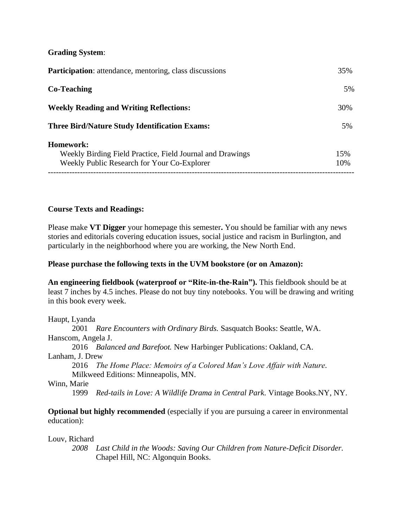#### **Grading System**:

| <b>Participation:</b> attendance, mentoring, class discussions                                                        | 35%        |
|-----------------------------------------------------------------------------------------------------------------------|------------|
| <b>Co-Teaching</b>                                                                                                    | 5%         |
| <b>Weekly Reading and Writing Reflections:</b>                                                                        | 30%        |
| <b>Three Bird/Nature Study Identification Exams:</b>                                                                  | 5%         |
| Homework:<br>Weekly Birding Field Practice, Field Journal and Drawings<br>Weekly Public Research for Your Co-Explorer | 15%<br>10% |

#### **Course Texts and Readings:**

Please make **VT Digger** your homepage this semester**.** You should be familiar with any news stories and editorials covering education issues, social justice and racism in Burlington, and particularly in the neighborhood where you are working, the New North End.

#### **Please purchase the following texts in the UVM bookstore (or on Amazon):**

**An engineering fieldbook (waterproof or "Rite-in-the-Rain").** This fieldbook should be at least 7 inches by 4.5 inches. Please do not buy tiny notebooks. You will be drawing and writing in this book every week.

Haupt, Lyanda 2001 *Rare Encounters with Ordinary Birds.* Sasquatch Books: Seattle, WA. Hanscom, Angela J. 2016 *Balanced and Barefoot.* New Harbinger Publications: Oakland, CA. Lanham, J. Drew 2016 *The Home Place: Memoirs of a Colored Man's Love Affair with Nature.* Milkweed Editions: Minneapolis, MN. Winn, Marie

1999 *Red-tails in Love: A Wildlife Drama in Central Park*. Vintage Books.NY, NY.

**Optional but highly recommended** (especially if you are pursuing a career in environmental education):

Louv, Richard

*2008 Last Child in the Woods: Saving Our Children from Nature-Deficit Disorder.* Chapel Hill, NC: Algonquin Books.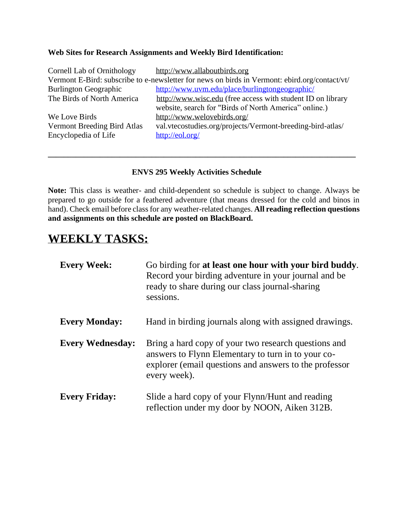#### **Web Sites for Research Assignments and Weekly Bird Identification:**

| Cornell Lab of Ornithology                                                                    | http://www.allaboutbirds.org                                                                                         |  |
|-----------------------------------------------------------------------------------------------|----------------------------------------------------------------------------------------------------------------------|--|
| Vermont E-Bird: subscribe to e-newsletter for news on birds in Vermont: ebird.org/contact/vt/ |                                                                                                                      |  |
| <b>Burlington Geographic</b>                                                                  | http://www.uvm.edu/place/burlingtongeographic/                                                                       |  |
| The Birds of North America                                                                    | http://www.wisc.edu (free access with student ID on library<br>website, search for "Birds of North America" online.) |  |
| We Love Birds                                                                                 | http://www.welovebirds.org/                                                                                          |  |
| <b>Vermont Breeding Bird Atlas</b>                                                            | val.vtecostudies.org/projects/Vermont-breeding-bird-atlas/                                                           |  |
| Encyclopedia of Life                                                                          | http://eol.org/                                                                                                      |  |

#### **ENVS 295 Weekly Activities Schedule**

**\_\_\_\_\_\_\_\_\_\_\_\_\_\_\_\_\_\_\_\_\_\_\_\_\_\_\_\_\_\_\_\_\_\_\_\_\_\_\_\_\_\_\_\_\_\_\_\_\_\_\_\_\_\_\_\_\_\_\_\_\_\_\_\_\_\_\_\_\_\_\_\_\_\_\_\_\_**

**Note:** This class is weather- and child-dependent so schedule is subject to change. Always be prepared to go outside for a feathered adventure (that means dressed for the cold and binos in hand). Check email before class for any weather-related changes. **All reading reflection questions and assignments on this schedule are posted on BlackBoard.** 

# **WEEKLY TASKS:**

| <b>Every Week:</b>      | Go birding for at least one hour with your bird buddy.<br>Record your birding adventure in your journal and be<br>ready to share during our class journal-sharing<br>sessions.       |
|-------------------------|--------------------------------------------------------------------------------------------------------------------------------------------------------------------------------------|
| <b>Every Monday:</b>    | Hand in birding journals along with assigned drawings.                                                                                                                               |
| <b>Every Wednesday:</b> | Bring a hard copy of your two research questions and<br>answers to Flynn Elementary to turn in to your co-<br>explorer (email questions and answers to the professor<br>every week). |
| <b>Every Friday:</b>    | Slide a hard copy of your Flynn/Hunt and reading<br>reflection under my door by NOON, Aiken 312B.                                                                                    |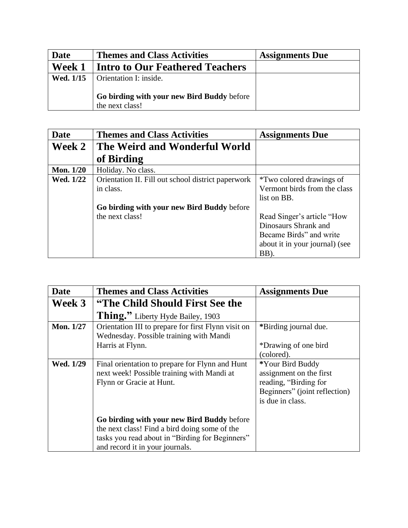| Date   | <b>Themes and Class Activities</b>                                                                           | <b>Assignments Due</b> |
|--------|--------------------------------------------------------------------------------------------------------------|------------------------|
| Week 1 | Intro to Our Feathered Teachers                                                                              |                        |
|        | <b>Wed.</b> $1/15$   Orientation I: inside.<br>Go birding with your new Bird Buddy before<br>the next class! |                        |

| <b>Date</b>      | <b>Themes and Class Activities</b>                 | <b>Assignments Due</b>          |
|------------------|----------------------------------------------------|---------------------------------|
| Week 2           | The Weird and Wonderful World                      |                                 |
|                  | of Birding                                         |                                 |
| <b>Mon.</b> 1/20 | Holiday. No class.                                 |                                 |
| <b>Wed. 1/22</b> | Orientation II. Fill out school district paperwork | <i>*Two colored drawings of</i> |
|                  | in class.                                          | Vermont birds from the class    |
|                  |                                                    | list on BB.                     |
|                  | Go birding with your new Bird Buddy before         |                                 |
|                  | the next class!                                    | Read Singer's article "How      |
|                  |                                                    | Dinosaurs Shrank and            |
|                  |                                                    | Became Birds" and write         |
|                  |                                                    | about it in your journal) (see  |
|                  |                                                    | BB).                            |

| <b>Date</b>      | <b>Themes and Class Activities</b>                                                                                                                                                | <b>Assignments Due</b>                                                                                                    |
|------------------|-----------------------------------------------------------------------------------------------------------------------------------------------------------------------------------|---------------------------------------------------------------------------------------------------------------------------|
| Week 3           | "The Child Should First See the                                                                                                                                                   |                                                                                                                           |
|                  | Thing." Liberty Hyde Bailey, 1903                                                                                                                                                 |                                                                                                                           |
| <b>Mon. 1/27</b> | Orientation III to prepare for first Flynn visit on<br>Wednesday. Possible training with Mandi                                                                                    | *Birding journal due.                                                                                                     |
|                  | Harris at Flynn.                                                                                                                                                                  | *Drawing of one bird<br>(colored).                                                                                        |
| Wed. 1/29        | Final orientation to prepare for Flynn and Hunt<br>next week! Possible training with Mandi at<br>Flynn or Gracie at Hunt.                                                         | *Your Bird Buddy<br>assignment on the first<br>reading, "Birding for<br>Beginners" (joint reflection)<br>is due in class. |
|                  | Go birding with your new Bird Buddy before<br>the next class! Find a bird doing some of the<br>tasks you read about in "Birding for Beginners"<br>and record it in your journals. |                                                                                                                           |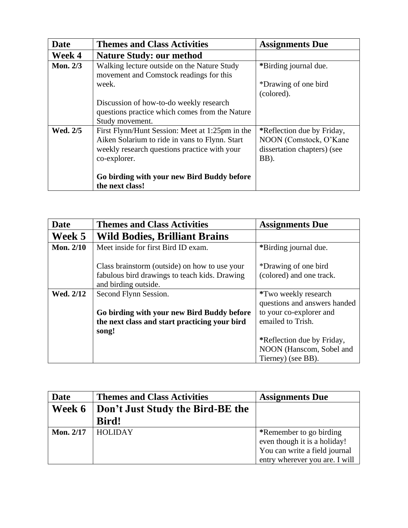| <b>Date</b>     | <b>Themes and Class Activities</b>                                                                                                                                | <b>Assignments Due</b>                                                                      |
|-----------------|-------------------------------------------------------------------------------------------------------------------------------------------------------------------|---------------------------------------------------------------------------------------------|
| Week 4          | <b>Nature Study: our method</b>                                                                                                                                   |                                                                                             |
| <b>Mon. 2/3</b> | Walking lecture outside on the Nature Study<br>movement and Comstock readings for this                                                                            | *Birding journal due.                                                                       |
|                 | week.                                                                                                                                                             | *Drawing of one bird<br>(colored).                                                          |
|                 | Discussion of how-to-do weekly research<br>questions practice which comes from the Nature<br>Study movement.                                                      |                                                                                             |
| Wed. 2/5        | First Flynn/Hunt Session: Meet at 1:25pm in the<br>Aiken Solarium to ride in vans to Flynn. Start<br>weekly research questions practice with your<br>co-explorer. | *Reflection due by Friday,<br>NOON (Comstock, O'Kane<br>dissertation chapters) (see<br>BB). |
|                 | Go birding with your new Bird Buddy before<br>the next class!                                                                                                     |                                                                                             |

| <b>Date</b>      | <b>Themes and Class Activities</b>                                                                                     | <b>Assignments Due</b>                           |
|------------------|------------------------------------------------------------------------------------------------------------------------|--------------------------------------------------|
| Week 5           | <b>Wild Bodies, Brilliant Brains</b>                                                                                   |                                                  |
| <b>Mon. 2/10</b> | Meet inside for first Bird ID exam.                                                                                    | *Birding journal due.                            |
|                  | Class brainstorm (outside) on how to use your<br>fabulous bird drawings to teach kids. Drawing<br>and birding outside. | *Drawing of one bird<br>(colored) and one track. |
| Wed. 2/12        | Second Flynn Session.                                                                                                  | *Two weekly research                             |
|                  |                                                                                                                        | questions and answers handed                     |
|                  | Go birding with your new Bird Buddy before                                                                             | to your co-explorer and                          |
|                  | the next class and start practicing your bird                                                                          | emailed to Trish.                                |
|                  | song!                                                                                                                  |                                                  |
|                  |                                                                                                                        | *Reflection due by Friday,                       |
|                  |                                                                                                                        | NOON (Hanscom, Sobel and                         |
|                  |                                                                                                                        | Tierney) (see BB).                               |

| Date             | <b>Themes and Class Activities</b>        | <b>Assignments Due</b>         |
|------------------|-------------------------------------------|--------------------------------|
|                  | Week 6   Don't Just Study the Bird-BE the |                                |
|                  | Bird!                                     |                                |
| <b>Mon. 2/17</b> | <b>HOLIDAY</b>                            | *Remember to go birding        |
|                  |                                           | even though it is a holiday!   |
|                  |                                           | You can write a field journal  |
|                  |                                           | entry wherever you are. I will |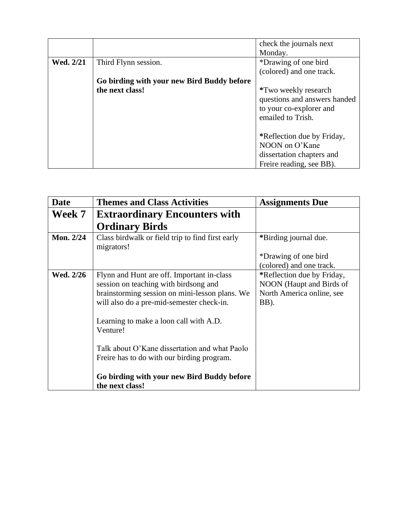|           |                                            | check the journals next      |
|-----------|--------------------------------------------|------------------------------|
|           |                                            | Monday.                      |
| Wed. 2/21 | Third Flynn session.                       | *Drawing of one bird         |
|           |                                            | (colored) and one track.     |
|           | Go birding with your new Bird Buddy before |                              |
|           | the next class!                            | *Two weekly research         |
|           |                                            | questions and answers handed |
|           |                                            | to your co-explorer and      |
|           |                                            | emailed to Trish.            |
|           |                                            |                              |
|           |                                            | *Reflection due by Friday,   |
|           |                                            | NOON on O'Kane               |
|           |                                            | dissertation chapters and    |
|           |                                            | Freire reading, see BB).     |

| Date      | <b>Themes and Class Activities</b>                                                                                                                                                                                                                                                                                                                                                                       | <b>Assignments Due</b>                                                                      |
|-----------|----------------------------------------------------------------------------------------------------------------------------------------------------------------------------------------------------------------------------------------------------------------------------------------------------------------------------------------------------------------------------------------------------------|---------------------------------------------------------------------------------------------|
| Week 7    | <b>Extraordinary Encounters with</b><br><b>Ordinary Birds</b>                                                                                                                                                                                                                                                                                                                                            |                                                                                             |
| Mon. 2/24 | Class birdwalk or field trip to find first early<br>migrators!                                                                                                                                                                                                                                                                                                                                           | *Birding journal due.<br>*Drawing of one bird<br>(colored) and one track.                   |
| Wed. 2/26 | Flynn and Hunt are off. Important in-class<br>session on teaching with birdsong and<br>brainstorming session on mini-lesson plans. We<br>will also do a pre-mid-semester check-in.<br>Learning to make a loon call with A.D.<br>Venture!<br>Talk about O'Kane dissertation and what Paolo<br>Freire has to do with our birding program.<br>Go birding with your new Bird Buddy before<br>the next class! | *Reflection due by Friday,<br>NOON (Haupt and Birds of<br>North America online, see<br>BB). |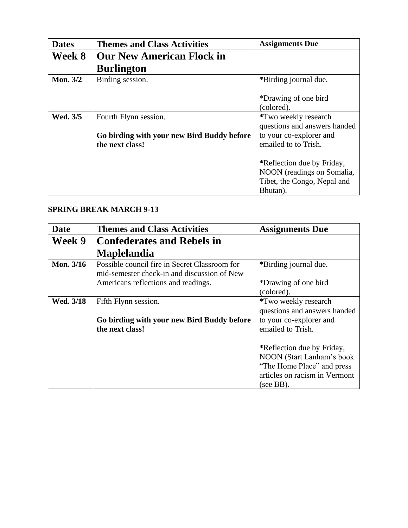| <b>Dates</b> | <b>Themes and Class Activities</b>         | <b>Assignments Due</b>             |
|--------------|--------------------------------------------|------------------------------------|
| Week 8       | <b>Our New American Flock in</b>           |                                    |
|              | <b>Burlington</b>                          |                                    |
| Mon. $3/2$   | Birding session.                           | *Birding journal due.              |
|              |                                            | *Drawing of one bird<br>(colored). |
| Wed. 3/5     | Fourth Flynn session.                      | *Two weekly research               |
|              |                                            | questions and answers handed       |
|              | Go birding with your new Bird Buddy before | to your co-explorer and            |
|              | the next class!                            | emailed to to Trish.               |
|              |                                            |                                    |
|              |                                            | *Reflection due by Friday,         |
|              |                                            | NOON (readings on Somalia,         |
|              |                                            | Tibet, the Congo, Nepal and        |
|              |                                            | Bhutan).                           |

## **SPRING BREAK MARCH 9-13**

| <b>Date</b> | <b>Themes and Class Activities</b>                                                           | <b>Assignments Due</b>             |
|-------------|----------------------------------------------------------------------------------------------|------------------------------------|
| Week 9      | <b>Confederates and Rebels in</b>                                                            |                                    |
|             | <b>Maplelandia</b>                                                                           |                                    |
| Mon. 3/16   | Possible council fire in Secret Classroom for<br>mid-semester check-in and discussion of New | *Birding journal due.              |
|             | Americans reflections and readings.                                                          | *Drawing of one bird<br>(colored). |
| Wed. 3/18   | Fifth Flynn session.                                                                         | *Two weekly research               |
|             |                                                                                              | questions and answers handed       |
|             | Go birding with your new Bird Buddy before                                                   | to your co-explorer and            |
|             | the next class!                                                                              | emailed to Trish.                  |
|             |                                                                                              |                                    |
|             |                                                                                              | *Reflection due by Friday,         |
|             |                                                                                              | NOON (Start Lanham's book          |
|             |                                                                                              | "The Home Place" and press         |
|             |                                                                                              | articles on racism in Vermont      |
|             |                                                                                              | (see BB).                          |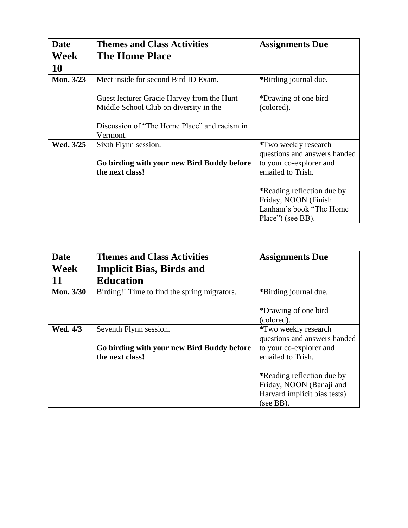| Date      | <b>Themes and Class Activities</b>                                                   | <b>Assignments Due</b>             |
|-----------|--------------------------------------------------------------------------------------|------------------------------------|
| Week      | <b>The Home Place</b>                                                                |                                    |
| <b>10</b> |                                                                                      |                                    |
| Mon. 3/23 | Meet inside for second Bird ID Exam.                                                 | *Birding journal due.              |
|           | Guest lecturer Gracie Harvey from the Hunt<br>Middle School Club on diversity in the | *Drawing of one bird<br>(colored). |
|           | Discussion of "The Home Place" and racism in                                         |                                    |
|           | Vermont.                                                                             |                                    |
| Wed. 3/25 | Sixth Flynn session.                                                                 | *Two weekly research               |
|           |                                                                                      | questions and answers handed       |
|           | Go birding with your new Bird Buddy before                                           | to your co-explorer and            |
|           | the next class!                                                                      | emailed to Trish.                  |
|           |                                                                                      |                                    |
|           |                                                                                      | *Reading reflection due by         |
|           |                                                                                      | Friday, NOON (Finish               |
|           |                                                                                      | Lanham's book "The Home"           |
|           |                                                                                      | Place") (see BB).                  |

| <b>Date</b>      | <b>Themes and Class Activities</b>           | <b>Assignments Due</b>                                                                              |
|------------------|----------------------------------------------|-----------------------------------------------------------------------------------------------------|
| Week             | <b>Implicit Bias, Birds and</b>              |                                                                                                     |
| 11               | <b>Education</b>                             |                                                                                                     |
| <b>Mon. 3/30</b> | Birding!! Time to find the spring migrators. | *Birding journal due.                                                                               |
|                  |                                              | *Drawing of one bird<br>(colored).                                                                  |
| Wed. 4/3         | Seventh Flynn session.                       | *Two weekly research<br>questions and answers handed                                                |
|                  | Go birding with your new Bird Buddy before   | to your co-explorer and                                                                             |
|                  | the next class!                              | emailed to Trish.                                                                                   |
|                  |                                              | *Reading reflection due by<br>Friday, NOON (Banaji and<br>Harvard implicit bias tests)<br>(see BB). |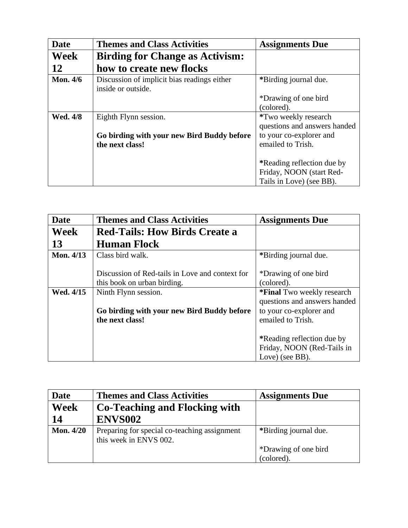| <b>Date</b>     | <b>Themes and Class Activities</b>                                | <b>Assignments Due</b>       |
|-----------------|-------------------------------------------------------------------|------------------------------|
| Week            | <b>Birding for Change as Activism:</b>                            |                              |
| 12              | how to create new flocks                                          |                              |
| Mon. $4/6$      | Discussion of implicit bias readings either<br>inside or outside. | *Birding journal due.        |
|                 |                                                                   | *Drawing of one bird         |
|                 |                                                                   | (colored).                   |
| <b>Wed. 4/8</b> | Eighth Flynn session.                                             | *Two weekly research         |
|                 |                                                                   | questions and answers handed |
|                 | Go birding with your new Bird Buddy before                        | to your co-explorer and      |
|                 | the next class!                                                   | emailed to Trish.            |
|                 |                                                                   |                              |
|                 |                                                                   | *Reading reflection due by   |
|                 |                                                                   | Friday, NOON (start Red-     |
|                 |                                                                   | Tails in Love) (see BB).     |

| <b>Date</b>      | <b>Themes and Class Activities</b>                                             | <b>Assignments Due</b>                                            |
|------------------|--------------------------------------------------------------------------------|-------------------------------------------------------------------|
| <b>Week</b>      | <b>Red-Tails: How Birds Create a</b>                                           |                                                                   |
| 13               | <b>Human Flock</b>                                                             |                                                                   |
| <b>Mon.</b> 4/13 | Class bird walk.                                                               | *Birding journal due.                                             |
|                  | Discussion of Red-tails in Love and context for<br>this book on urban birding. | *Drawing of one bird<br>(colored).                                |
| Wed. 4/15        | Ninth Flynn session.                                                           | <b>*Final</b> Two weekly research<br>questions and answers handed |
|                  | Go birding with your new Bird Buddy before<br>the next class!                  | to your co-explorer and<br>emailed to Trish.                      |
|                  |                                                                                |                                                                   |
|                  |                                                                                | *Reading reflection due by                                        |
|                  |                                                                                | Friday, NOON (Red-Tails in                                        |
|                  |                                                                                | Love) (see BB).                                                   |

| <b>Date</b>      | <b>Themes and Class Activities</b>                                     | <b>Assignments Due</b> |
|------------------|------------------------------------------------------------------------|------------------------|
| <b>Week</b>      | <b>Co-Teaching and Flocking with</b>                                   |                        |
| 14               | <b>ENVS002</b>                                                         |                        |
| <b>Mon. 4/20</b> | Preparing for special co-teaching assignment<br>this week in ENVS 002. | *Birding journal due.  |
|                  |                                                                        | *Drawing of one bird   |
|                  |                                                                        | (colored).             |